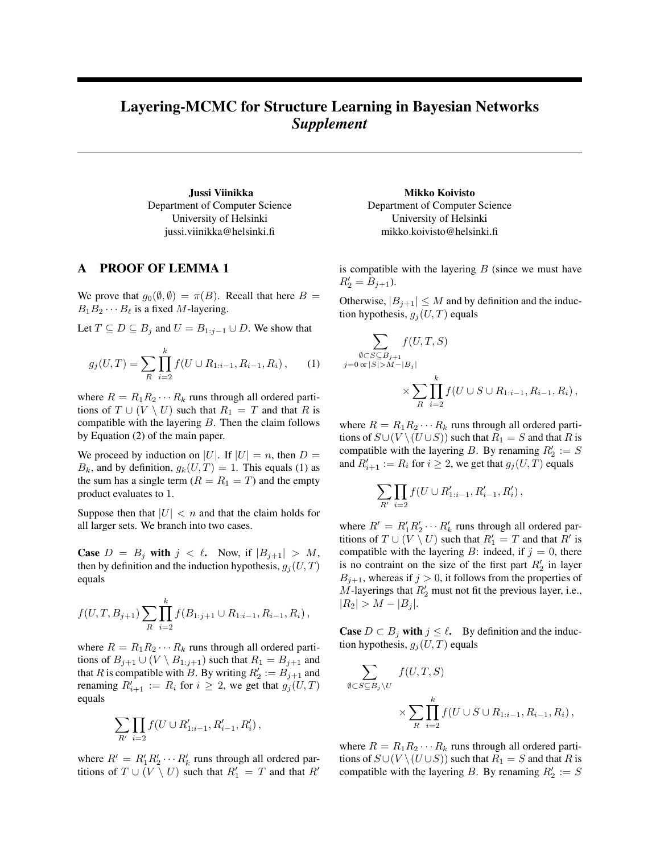## Layering-MCMC for Structure Learning in Bayesian Networks *Supplement*

Jussi Viinikka Department of Computer Science University of Helsinki jussi.viinikka@helsinki.fi

## A PROOF OF LEMMA 1

We prove that  $g_0(\emptyset, \emptyset) = \pi(B)$ . Recall that here  $B =$  $B_1B_2 \cdots B_\ell$  is a fixed M-layering.

Let  $T \subseteq D \subseteq B_j$  and  $U = B_{1:j-1} \cup D$ . We show that

$$
g_j(U,T) = \sum_{R} \prod_{i=2}^{k} f(U \cup R_{1:i-1}, R_{i-1}, R_i), \qquad (1)
$$

where  $R = R_1 R_2 \cdots R_k$  runs through all ordered partitions of  $T \cup (V \setminus U)$  such that  $R_1 = T$  and that R is compatible with the layering  $B$ . Then the claim follows by Equation (2) of the main paper.

We proceed by induction on |U|. If  $|U| = n$ , then  $D =$  $B_k$ , and by definition,  $g_k(U,T) = 1$ . This equals (1) as the sum has a single term  $(R = R_1 = T)$  and the empty product evaluates to 1.

Suppose then that  $|U| < n$  and that the claim holds for all larger sets. We branch into two cases.

**Case**  $D = B_j$  with  $j < l$ . Now, if  $|B_{j+1}| > M$ , then by definition and the induction hypothesis,  $g_i(U, T)$ equals

$$
f(U,T,B_{j+1})\sum_{R}\prod_{i=2}^{k}f(B_{1:j+1}\cup R_{1:i-1},R_{i-1},R_i),
$$

where  $R = R_1 R_2 \cdots R_k$  runs through all ordered partitions of  $B_{j+1} \cup (V \setminus B_{1:j+1})$  such that  $R_1 = B_{j+1}$  and that R is compatible with B. By writing  $R'_2 := \overline{B}_{j+1}$  and renaming  $R'_{i+1} := R_i$  for  $i \geq 2$ , we get that  $g_j(U, T)$ equals

$$
\sum_{R'} \prod_{i=2} f(U \cup R'_{1:i-1}, R'_{i-1}, R'_i),
$$

where  $R' = R'_1 R'_2 \cdots R'_k$  runs through all ordered partitions of  $T \cup (V \setminus U)$  such that  $R'_1 = T$  and that  $R'$ 

Mikko Koivisto Department of Computer Science University of Helsinki mikko.koivisto@helsinki.fi

is compatible with the layering  $B$  (since we must have  $R'_2 = B_{j+1}$ ).

Otherwise,  $|B_{j+1}| \leq M$  and by definition and the induction hypothesis,  $g_j(U, T)$  equals

$$
\sum_{\substack{\emptyset \subset S \subseteq B_{j+1} \\ j=0 \text{ or } |S| > M-|B_j|}} f(U, T, S)
$$
\n
$$
\times \sum_{R} \prod_{i=2}^{k} f(U \cup S \cup R_{1:i-1}, R_{i-1}, R_i),
$$

where  $R = R_1 R_2 \cdots R_k$  runs through all ordered partitions of  $S\cup (V\setminus (U\cup S))$  such that  $R_1 = S$  and that R is compatible with the layering B. By renaming  $R'_2 := S$ and  $R'_{i+1} := R_i$  for  $i \geq 2$ , we get that  $g_j(U, T)$  equals

$$
\sum_{R'} \prod_{i=2} f(U \cup R'_{1:i-1}, R'_{i-1}, R'_i),
$$

where  $R' = R'_1 R'_2 \cdots R'_k$  runs through all ordered partitions of  $T \cup (V \setminus U)$  such that  $R'_1 = T$  and that  $R'$  is compatible with the layering B: indeed, if  $j = 0$ , there is no contraint on the size of the first part  $R'_2$  in layer  $B_{j+1}$ , whereas if  $j > 0$ , it follows from the properties of  $M$ -layerings that  $R'_2$  must not fit the previous layer, i.e.,  $|R_2| > M - |B_j|.$ 

**Case**  $D \subset B_j$  with  $j \leq \ell$ . By definition and the induction hypothesis,  $g_j(U, T)$  equals

$$
\sum_{\emptyset \subset S \subseteq B_j \setminus U} f(U, T, S)
$$
  
\$\times \sum\_{R} \prod\_{i=2}^{k} f(U \cup S \cup R\_{1:i-1}, R\_{i-1}, R\_i) ,\$

where  $R = R_1 R_2 \cdots R_k$  runs through all ordered partitions of  $S\cup (V\setminus (U\cup S))$  such that  $R_1 = S$  and that R is compatible with the layering B. By renaming  $R'_2 := S$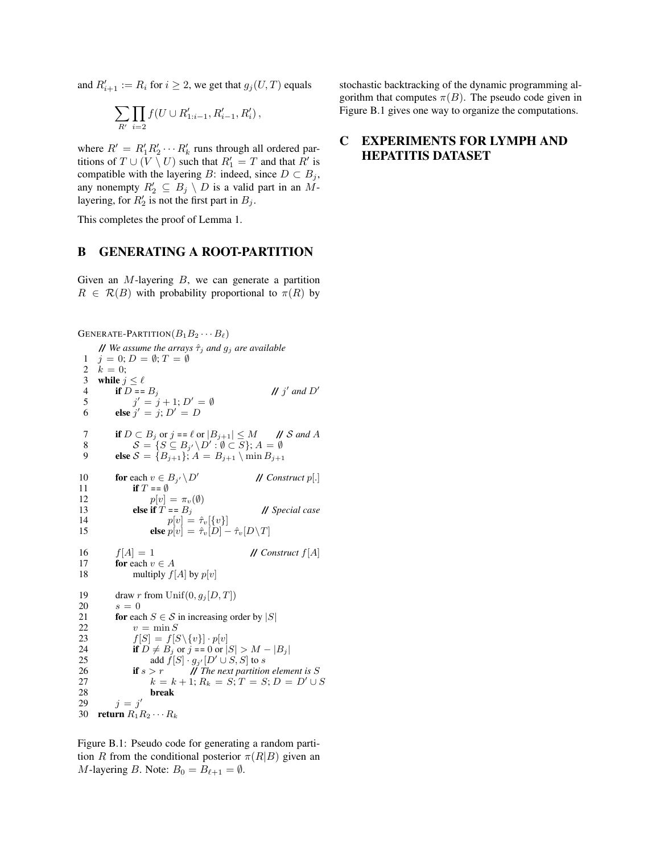and  $R'_{i+1} := R_i$  for  $i \geq 2$ , we get that  $g_j(U, T)$  equals

$$
\sum_{R'} \prod_{i=2} f(U \cup R'_{1:i-1}, R'_{i-1}, R'_i)\,,
$$

where  $R' = R'_1 R'_2 \cdots R'_k$  runs through all ordered partitions of  $T \cup (V \setminus U)$  such that  $R'_1 = T$  and that  $R'$  is compatible with the layering B: indeed, since  $D \subset B_j$ , any nonempty  $R'_2 \subseteq B_j \setminus D$  is a valid part in an  $M$ layering, for  $R'_2$  is not the first part in  $B_j$ .

This completes the proof of Lemma 1.

## B GENERATING A ROOT-PARTITION

Given an  $M$ -layering  $B$ , we can generate a partition  $R \in \mathcal{R}(B)$  with probability proportional to  $\pi(R)$  by

```
GENERATE-PARTITION(B_1B_2\cdots B_\ell)// We assume the arrays \hat{\tau}_j and g_j are available
 1 j = 0; D = \emptyset; T = \emptyset2 k = 0;<br>3 while j
 3 while j \leq \ell<br>4 if D ==4 if D = B_j<br>5 j' = j' and D'5 j' = j + 1; D' = \emptyset6 else j' = j; D' = D7 if D \subset B_j or j = \ell or |B_{j+1}| \leq M // S and A
  8 S = \{S \subseteq B_{j'} \setminus D' : \emptyset \subset S\}; A = \emptyset9 else S = \{B_{j+1}\}; A = B_{j+1} \setminus \min B_{j+1}10 for each v \in B_{j'} \setminus D0 // Construct p[.]
11 if T = \emptyset12 p[v] = \pi_v(\emptyset)<br>13 else if T = B_i13 else if \hat{T} = B_j // Special case 14 p [v] = \hat{\tau}_v[\{v\}]14 p[v] = \hat{\tau}_v[\{v\}]<br>15 else p[v] = \hat{\tau}_v[D] -else p[v] = \hat{\tau}_v[D] - \hat{\tau}_v[D\backslash T]16 f[A] = 1 // Construct f[A]<br>17 for each v \in A17 for each v \in A<br>18 multiply f(x)multiply f[A] by p[v]19 draw r from Unif(0, g_j[D, T])20 s = 021 for each S \in \mathcal{S} in increasing order by |S|22 v = \min S<br>23 f[S] = f[S]f[S] = f[S \setminus \{v\}] \cdot p[v]24 if D \neq B_j or j = 0 or |S| > M - |B_j|<br>25 add f[S] \cdot g_{s'}[D' \cup S, S] to s
25 add \tilde{f}[S] \cdot g_{j'}[D' \cup S, S] to s
26 if s > r // The next partition element is S<br>27 k = k + 1; R_k = S; T = S; D = D' \cup k27 k = k + 1; R_k = S; T = S; D = D' \cup S28 break<br>29 i = j'29 j = j'30 return R_1R_2 \cdots R_k
```
Figure B.1: Pseudo code for generating a random partition R from the conditional posterior  $\pi(R|B)$  given an *M*-layering *B*. Note:  $B_0 = B_{\ell+1} = \emptyset$ .

stochastic backtracking of the dynamic programming algorithm that computes  $\pi(B)$ . The pseudo code given in Figure B.1 gives one way to organize the computations.

## C EXPERIMENTS FOR LYMPH AND HEPATITIS DATASET